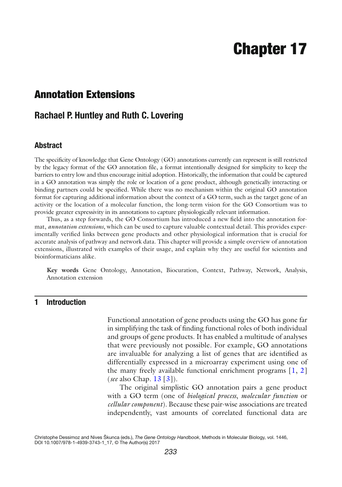# **Chapter 17**

## **Annotation Extensions**

### **Rachael P. Huntley and Ruth C. Lovering**

#### **Abstract**

The specificity of knowledge that Gene Ontology (GO) annotations currently can represent is still restricted by the legacy format of the GO annotation file, a format intentionally designed for simplicity to keep the barriers to entry low and thus encourage initial adoption. Historically, the information that could be captured in a GO annotation was simply the role or location of a gene product, although genetically interacting or binding partners could be specified. While there was no mechanism within the original GO annotation format for capturing additional information about the context of a GO term, such as the target gene of an activity or the location of a molecular function, the long-term vision for the GO Consortium was to provide greater expressivity in its annotations to capture physiologically relevant information.

Thus, as a step forwards, the GO Consortium has introduced a new field into the annotation format, *annotation extensions*, which can be used to capture valuable contextual detail. This provides experimentally verified links between gene products and other physiological information that is crucial for accurate analysis of pathway and network data. This chapter will provide a simple overview of annotation extensions, illustrated with examples of their usage, and explain why they are useful for scientists and bioinformaticians alike.

Key words Gene Ontology, Annotation, Biocuration, Context, Pathway, Network, Analysis, Annotation extension

#### **1 Introduction**

Functional annotation of gene products using the GO has gone far in simplifying the task of finding functional roles of both individual and groups of gene products. It has enabled a multitude of analyses that were previously not possible. For example, GO annotations are invaluable for analyzing a list of genes that are identified as differentially expressed in a microarray experiment using one of the many freely available functional enrichment programs  $[1, 2]$  $[1, 2]$  $[1, 2]$ (*see* also Chap. [13](http://dx.doi.org/10.1007/978-1-4939-3743-1_13)<sup>[3]</sup>).

The original simplistic GO annotation pairs a gene product with a GO term (one of *biological process*, *molecular function* or *cellular component*). Because these pair-wise associations are treated independently, vast amounts of correlated functional data are

Christophe Dessimoz and Nives Škunca (eds.), *The Gene Ontology Handbook*, Methods in Molecular Biology, vol. 1446, DOI 10.1007/978-1-4939-3743-1\_17, © The Author(s) 2017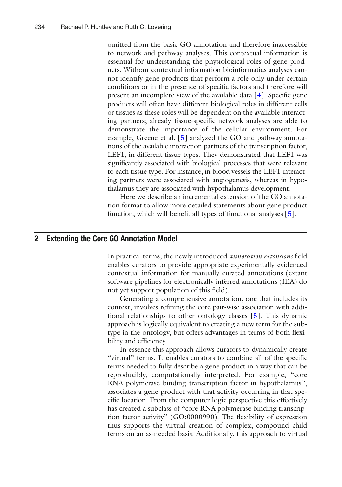omitted from the basic GO annotation and therefore inaccessible to network and pathway analyses. This contextual information is essential for understanding the physiological roles of gene products. Without contextual information bioinformatics analyses cannot identify gene products that perform a role only under certain conditions or in the presence of specific factors and therefore will present an incomplete view of the available data  $[4]$ . Specific gene products will often have different biological roles in different cells or tissues as these roles will be dependent on the available interacting partners; already tissue-specific network analyses are able to demonstrate the importance of the cellular environment. For example, Greene et al.  $[5]$  analyzed the GO and pathway annotations of the available interaction partners of the transcription factor, LEF1, in different tissue types. They demonstrated that LEF1 was significantly associated with biological processes that were relevant to each tissue type. For instance, in blood vessels the LEF1 interacting partners were associated with angiogenesis, whereas in hypothalamus they are associated with hypothalamus development.

Here we describe an incremental extension of the GO annotation format to allow more detailed statements about gene product function, which will benefit all types of functional analyses  $[5]$ .

#### **2 Extending the Core GO Annotation Model**

In practical terms, the newly introduced *annotation extensions* field enables curators to provide appropriate experimentally evidenced contextual information for manually curated annotations (extant software pipelines for electronically inferred annotations (IEA) do not yet support population of this field).

Generating a comprehensive annotation, one that includes its context, involves refining the core pair-wise association with additional relationships to other ontology classes [\[ 5](#page-10-0)]. This dynamic approach is logically equivalent to creating a new term for the subtype in the ontology, but offers advantages in terms of both flexibility and efficiency.

In essence this approach allows curators to dynamically create "virtual" terms. It enables curators to combine all of the specific terms needed to fully describe a gene product in a way that can be reproducibly, computationally interpreted. For example, "core RNA polymerase binding transcription factor in hypothalamus", associates a gene product with that activity occurring in that specific location. From the computer logic perspective this effectively has created a subclass of "core RNA polymerase binding transcription factor activity" (GO:0000990). The flexibility of expression thus supports the virtual creation of complex, compound child terms on an as-needed basis. Additionally, this approach to virtual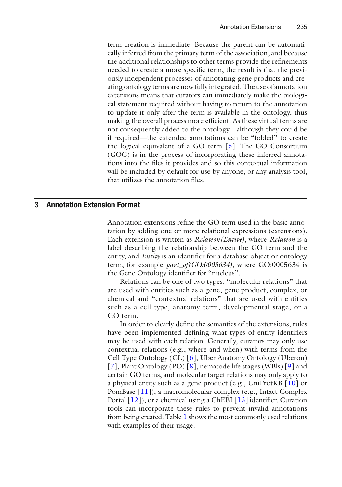term creation is immediate. Because the parent can be automatically inferred from the primary term of the association, and because the additional relationships to other terms provide the refinements needed to create a more specific term, the result is that the previously independent processes of annotating gene products and creating ontology terms are now fully integrated. The use of annotation extensions means that curators can immediately make the biological statement required without having to return to the annotation to update it only after the term is available in the ontology, thus making the overall process more efficient. As these virtual terms are not consequently added to the ontology—although they could be if required—the extended annotations can be "folded" to create the logical equivalent of a  $GO$  term  $[5]$ . The  $GO$  Consortium (GOC) is in the process of incorporating these inferred annotations into the files it provides and so this contextual information will be included by default for use by anyone, or any analysis tool, that utilizes the annotation files.

#### **3 Annotation Extension Format**

Annotation extensions refine the GO term used in the basic annotation by adding one or more relational expressions (extensions). Each extension is written as *Relation(Entity)*, where *Relation* is a label describing the relationship between the GO term and the entity, and *Entity* is an identifier for a database object or ontology term, for example *part\_of(GO:0005634),* where GO:0005634 is the Gene Ontology identifier for "nucleus".

Relations can be one of two types: "molecular relations" that are used with entities such as a gene, gene product, complex, or chemical and "contextual relations" that are used with entities such as a cell type, anatomy term, developmental stage, or a GO term.

In order to clearly define the semantics of the extensions, rules have been implemented defining what types of entity identifiers may be used with each relation. Generally, curators may only use contextual relations (e.g., where and when) with terms from the Cell Type Ontology (CL) [6], Uber Anatomy Ontology (Uberon) [7], Plant Ontology (PO) [8], nematode life stages (WBls) [9] and certain GO terms, and molecular target relations may only apply to a physical entity such as a gene product (e.g., UniProtKB [ [10](#page-10-0)] or PomBase [\[ 11](#page-10-0)]), a macromolecular complex (e.g., Intact Complex Portal  $[12]$ ), or a chemical using a ChEBI  $[13]$  identifier. Curation tools can incorporate these rules to prevent invalid annotations from being created. Table [1](#page-3-0) shows the most commonly used relations with examples of their usage.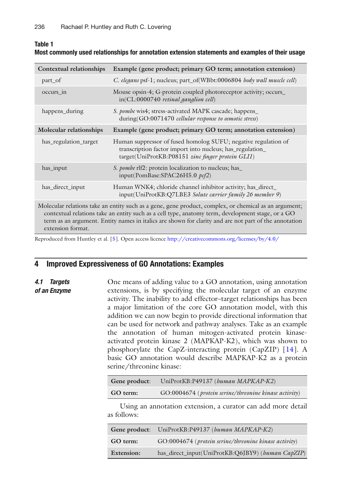<span id="page-3-0"></span> **Table 1** 

extension format.

| Contextual relationships | Example (gene product; primary GO term; annotation extension)                                                                                                                                                                                                                                                       |
|--------------------------|---------------------------------------------------------------------------------------------------------------------------------------------------------------------------------------------------------------------------------------------------------------------------------------------------------------------|
| part_of                  | C. elegans psf-1; nucleus; part_of(WBbt:0006804 body wall muscle cell)                                                                                                                                                                                                                                              |
| occurs in                | Mouse opsin-4; G-protein coupled photoreceptor activity; occurs<br>$\text{in}(\text{CL}:0000740 \text{ retinal ganglion cell})$                                                                                                                                                                                     |
| happens_during           | <i>S. pombe</i> wis4; stress-activated MAPK cascade; happens<br>during(GO:0071470 cellular response to osmotic stress)                                                                                                                                                                                              |
| Molecular relationships  | Example (gene product; primary GO term; annotation extension)                                                                                                                                                                                                                                                       |
| has_regulation_target    | Human suppressor of fused homolog SUFU; negative regulation of<br>transcription factor import into nucleus; has_regulation_<br>target(UniProtKB:P08151 zinc finger protein GLII)                                                                                                                                    |
| has_input                | S. pombe rlf2: protein localization to nucleus; has_<br>input(PomBase:SPAC26H5.0 pcf2)                                                                                                                                                                                                                              |
| has_direct_input         | Human WNK4; chloride channel inhibitor activity; has_direct_<br>input(UniProtKB:Q7LBE3 Solute carrier family 26 member 9)                                                                                                                                                                                           |
|                          | Molecular relations take an entity such as a gene, gene product, complex, or chemical as an argument;<br>contextual relations take an entity such as a cell type, anatomy term, development stage, or a GO<br>term as an argument. Entity names in italics are shown for clarity and are not part of the annotation |

|  | Most commonly used relationships for annotation extension statements and examples of their usage |  |
|--|--------------------------------------------------------------------------------------------------|--|
|--|--------------------------------------------------------------------------------------------------|--|

Reproduced from Huntley et al. [\[ 5\]](#page-10-0). Open access licence<http://creativecommons.org/licenses/by/4.0/>

#### **4 Improved Expressiveness of GO Annotations: Examples**

One means of adding value to a GO annotation, using annotation extensions, is by specifying the molecular target of an enzyme activity. The inability to add effector–target relationships has been a major limitation of the core GO annotation model, with this addition we can now begin to provide directional information that can be used for network and pathway analyses. Take as an example the annotation of human mitogen-activated protein kinaseactivated protein kinase 2 (MAPKAP-K2), which was shown to phosphorylate the CapZ-interacting protein (CapZIP) [ [14\]](#page-10-0). A basic GO annotation would describe MAPKAP-K2 as a protein serine/threonine kinase: *4.1 Targets of an Enzyme*

| Gene product: | UniProtKB:P49137 (human MAPKAP-K2)                    |
|---------------|-------------------------------------------------------|
| GO term:      | GO:0004674 (protein serine/threonine kinase activity) |
|               |                                                       |

Using an annotation extension, a curator can add more detail as follows:

|                   | Gene product: UniProtKB:P49137 (human MAPKAP-K2)      |  |  |  |  |  |
|-------------------|-------------------------------------------------------|--|--|--|--|--|
| GO term:          | GO:0004674 (protein serine/threonine kinase activity) |  |  |  |  |  |
| <b>Extension:</b> | has_direct_input(UniProtKB:Q6JBY9) (human CapZIP)     |  |  |  |  |  |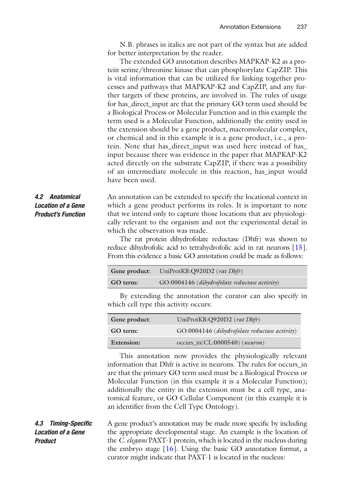N.B. phrases in italics are not part of the syntax but are added for better interpretation by the reader.

The extended GO annotation describes MAPKAP-K2 as a protein serine/threonine kinase that can phosphorylate CapZIP. This is vital information that can be utilized for linking together processes and pathways that MAPKAP-K2 and CapZIP, and any further targets of these proteins, are involved in. The rules of usage for has\_direct\_input are that the primary GO term used should be a Biological Process or Molecular Function and in this example the term used is a Molecular Function, additionally the entity used in the extension should be a gene product, macromolecular complex, or chemical and in this example it is a gene product, i.e., a protein. Note that has\_direct\_input was used here instead of has\_ input because there was evidence in the paper that MAPKAP-K2 acted directly on the substrate CapZIP, if there was a possibility of an intermediate molecule in this reaction, has\_input would have been used.

#### *4.2 Anatomical Location of a Gene Product's Function*

An annotation can be extended to specify the locational context in which a gene product performs its roles. It is important to note that we intend only to capture those locations that are physiologically relevant to the organism and not the experimental detail in which the observation was made.

The rat protein dihydrofolate reductase (Dhfr) was shown to reduce dihydrofolic acid to tetrahydrofolic acid in rat neurons [15]. From this evidence a basic GO annotation could be made as follows:

| Gene product: | UniProtKB:Q920D2 (rat Dhfr)                   |
|---------------|-----------------------------------------------|
| GO term:      | GO:0004146 (dihydrofolate reductase activity) |

By extending the annotation the curator can also specify in which cell type this activity occurs:

| Gene product:     | UniProtKB: $O920D2$ (rat Dhfr)                |
|-------------------|-----------------------------------------------|
| GO term:          | GO:0004146 (dihydrofolate reductase activity) |
| <b>Extension:</b> | $occurs_in(CL:0000540)$ ( <i>neuron</i> )     |
|                   |                                               |

This annotation now provides the physiologically relevant information that Dhfr is active in neurons. The rules for occurs\_in are that the primary GO term used must be a Biological Process or Molecular Function (in this example it is a Molecular Function); additionally the entity in the extension must be a cell type, anatomical feature, or GO Cellular Component (in this example it is an identifier from the Cell Type Ontology).

A gene product's annotation may be made more specific by including the appropriate developmental stage. An example is the location of the *C. elegans* PAXT-1 protein, which is located in the nucleus during the embryo stage  $[16]$ . Using the basic GO annotation format, a curator might indicate that PAXT-1 is located in the nucleus: *4.3 Timing-Specifi c Location of a Gene Product*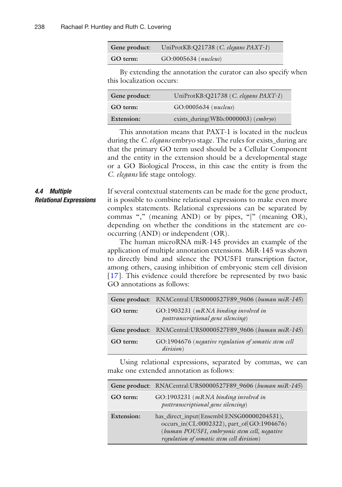| Gene product: | UniProtKB:Q21738 (C. elegans PAXT-1) |
|---------------|--------------------------------------|
| GO term:      | GO:0005634 ( <i>nucleus</i> )        |

By extending the annotation the curator can also specify when this localization occurs:

| Gene product: | UniProtKB:Q21738 (C. elegans PAXT-1)          |
|---------------|-----------------------------------------------|
| GO term:      | GO:0005634 ( <i>nucleus</i> )                 |
| Extension:    | exists_during(WBls:0000003) $(\text{embryo})$ |
|               |                                               |

This annotation means that PAXT-1 is located in the nucleus during the *C. elegans* embryo stage. The rules for exists\_during are that the primary GO term used should be a Cellular Component and the entity in the extension should be a developmental stage or a GO Biological Process, in this case the entity is from the *C. elegans* life stage ontology.

If several contextual statements can be made for the gene product, it is possible to combine relational expressions to make even more complex statements. Relational expressions can be separated by commas "," (meaning AND) or by pipes, "|" (meaning OR), depending on whether the conditions in the statement are cooccurring (AND) or independent (OR). *4.4 Multiple Relational Expressions*

The human microRNA miR-145 provides an example of the application of multiple annotation extensions. MiR-145 was shown to directly bind and silence the POU5F1 transcription factor, among others, causing inhibition of embryonic stem cell division [17]. This evidence could therefore be represented by two basic GO annotations as follows:

|          | Gene product: RNACentral:URS0000527F89_9606 (human miR-145)                 |
|----------|-----------------------------------------------------------------------------|
| GO term: | GO:1903231 (mRNA binding involved in<br>posttranscriptional gene silencing) |
|          | Gene product: RNACentral:URS0000527F89_9606 (human miR-145)                 |
| GO term: | GO:1904676 (negative regulation of somatic stem cell<br>division)           |

Using relational expressions, separated by commas, we can make one extended annotation as follows:

|            | Gene product: RNACentral:URS0000527F89_9606 (human miR-145)                                                                                                                           |
|------------|---------------------------------------------------------------------------------------------------------------------------------------------------------------------------------------|
| GO term:   | GO:1903231 (mRNA binding involved in<br>posttranscriptional gene silencing)                                                                                                           |
| Extension: | has_direct_input(Ensembl:ENSG00000204531),<br>occurs_in(CL:0002322), part_of(GO:1904676)<br>(human POU5F1, embryonic stem cell, negative<br>regulation of somatic stem cell division) |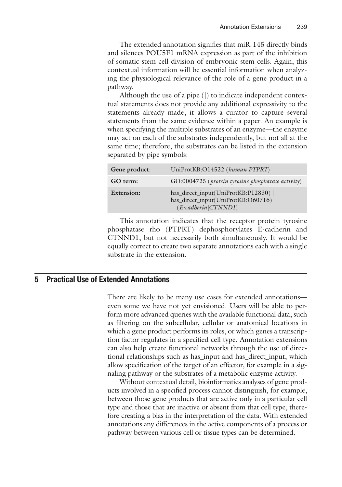The extended annotation signifies that miR-145 directly binds and silences POU5F1 mRNA expression as part of the inhibition of somatic stem cell division of embryonic stem cells. Again, this contextual information will be essential information when analyzing the physiological relevance of the role of a gene product in a pathway.

Although the use of a pipe (|) to indicate independent contextual statements does not provide any additional expressivity to the statements already made, it allows a curator to capture several statements from the same evidence within a paper. An example is when specifying the multiple substrates of an enzyme—the enzyme may act on each of the substrates independently, but not all at the same time; therefore, the substrates can be listed in the extension separated by pipe symbols:

| Gene product:     | UniProtKB:O14522 (human PTPRT)                                                                             |
|-------------------|------------------------------------------------------------------------------------------------------------|
| GO term:          | GO:0004725 (protein tyrosine phosphatase activity)                                                         |
| <b>Extension:</b> | has_direct_input(UniProtKB:P12830)  <br>has_direct_input(UniProtKB:O60716)<br>$(E\text{-}cadherin CTNNDI)$ |

This annotation indicates that the receptor protein tyrosine phosphatase rho (PTPRT) dephosphorylates E-cadherin and CTNND1, but not necessarily both simultaneously. It would be equally correct to create two separate annotations each with a single substrate in the extension.

#### **5 Practical Use of Extended Annotations**

There are likely to be many use cases for extended annotations even some we have not yet envisioned. Users will be able to perform more advanced queries with the available functional data; such as filtering on the subcellular, cellular or anatomical locations in which a gene product performs its roles, or which genes a transcription factor regulates in a specified cell type. Annotation extensions can also help create functional networks through the use of directional relationships such as has\_input and has\_direct\_input, which allow specification of the target of an effector, for example in a signaling pathway or the substrates of a metabolic enzyme activity.

Without contextual detail, bioinformatics analyses of gene products involved in a specified process cannot distinguish, for example, between those gene products that are active only in a particular cell type and those that are inactive or absent from that cell type, therefore creating a bias in the interpretation of the data. With extended annotations any differences in the active components of a process or pathway between various cell or tissue types can be determined.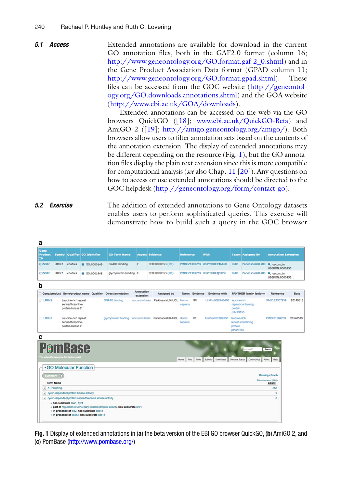Extended annotations are available for download in the current GO annotation files, both in the GAF2.0 format (column 16; http://www.geneontology.org/GO.format.gaf-2\_0.shtml) and in the Gene Product Association Data format (GPAD column 11; [http://www.geneontology.org/GO.format.gpad.shtml](http://www.geneontology.org/GO.format.gpad.shtml#pmc_ext) ). These files can be accessed from the GOC website (http://geneontol[ogy.org/GO.downloads.annotations.shtml](http://geneontology.org/GO.downloads.annotations.shtml) ) and the GOA website ( [http://www.ebi.ac.uk/GOA/downloads \)](http://www.ebi.ac.uk/GOA/downloads). *5.1 Access*

> Extended annotations can be accessed on the web via the GO browsers QuickGO ([18]; www.ebi.ac.uk/QuickGO-Beta) and AmiGO 2 ([19]; <http://amigo.geneontology.org/amigo/>). Both browsers allow users to filter annotation sets based on the contents of the annotation extension. The display of extended annotations may be different depending on the resource (Fig. 1), but the GO annotation files display the plain text extension since this is more compatible for computational analysis ( *see* also Chap. [11](http://dx.doi.org/10.1007/978-1-4939-3743-1_11)[ [20](#page-10-0)]). Any questions on how to access or use extended annotations should be directed to the GOC helpdesk (http://geneontology.org/form/contact-go).

The addition of extended annotations to Gene Ontology datasets enables users to perform sophisticated queries. This exercise will demonstrate how to build such a query in the GOC browser *5.2 Exercise*

| a                             |                  |                                                                             |                                                                                                                                                          |                                                                                 |                         |                                                       |                        |                                          |                                      |                               |                                 |          |
|-------------------------------|------------------|-----------------------------------------------------------------------------|----------------------------------------------------------------------------------------------------------------------------------------------------------|---------------------------------------------------------------------------------|-------------------------|-------------------------------------------------------|------------------------|------------------------------------------|--------------------------------------|-------------------------------|---------------------------------|----------|
| Gene<br><b>Product</b><br>ID. |                  |                                                                             | Symbol Qualifier GO Identifier                                                                                                                           | <b>GO Term Name</b>                                                             |                         | <b>Aspect Evidence</b>                                | <b>Reference</b>       | With                                     |                                      | <b>Taxon Assigned By</b>      | <b>Annotation Extension</b>     |          |
| Q5S007                        | LRRK2            | enables                                                                     | GO:0000149                                                                                                                                               | <b>SNARE binding</b>                                                            | F                       | ECO:0000353 (IPI)                                     |                        | PMID:21307259 UniProtKB:P46460           | 9606                                 | ParkinsonsUK-UCL              | e occurs_in<br>UBERON:0000955   |          |
| Q5S007                        | LRRK2            | enables                                                                     | <b>留 GO:0001948</b>                                                                                                                                      | glycoprotein binding F                                                          |                         | ECO:0000353 (IPI)                                     |                        | PMID:21307259 UniProtKB:Q9JIS5           | 9606                                 | ParkinsonsUK-UCL @ occurs_in  | UBERON:0000955                  |          |
| b                             |                  |                                                                             |                                                                                                                                                          |                                                                                 |                         |                                                       |                        |                                          |                                      |                               |                                 |          |
|                               |                  |                                                                             |                                                                                                                                                          | Gene/product Gene/product name Qualifier Direct annotation                      | Annotation<br>extension | Assigned by                                           | Evidence<br>Taxon      | <b>Evidence with</b>                     |                                      | <b>PANTHER family Isoform</b> | Reference                       | Date     |
| <b>LRRK2</b>                  |                  | Leucine-rich repeat<br>serine/threonine-<br>protein kinase 2                |                                                                                                                                                          | <b>SNARE binding</b>                                                            | occurs in brain         | ParkinsonsUK-UCL                                      | IPI<br>Homo<br>sapiens | UniProtKB:P46460                         | leucine-rich<br>protein<br>pthr23155 | repeat-containing             | PMID:21307259                   | 20140513 |
| <b>LRRK2</b>                  |                  | Leucine-rich repeat<br>serine/threonine-<br>protein kinase 2                |                                                                                                                                                          |                                                                                 |                         | glycoprotein binding occurs in brain ParkinsonsUK-UCL | IPI<br>Homo<br>sapiens | UniProtKB:Q9JIS5                         | leucine-rich<br>protein<br>pthr23155 | repeat-containing             | PMID:21307259                   | 20140513 |
| с                             |                  | <b>PamBase</b>                                                              |                                                                                                                                                          |                                                                                 |                         |                                                       |                        |                                          |                                      | a e coc2 <sup>+</sup>         | Search                          |          |
|                               |                  | The scientific resource for fission yeast<br><b>- GO Molecular Function</b> |                                                                                                                                                          |                                                                                 |                         |                                                       | Home Find<br>Tools     | Submit Downloads Genome Status Community |                                      |                               | About Help                      |          |
|                               | Summary O        |                                                                             |                                                                                                                                                          |                                                                                 |                         |                                                       |                        |                                          |                                      |                               | <b>Ontology Graph</b>           |          |
|                               | <b>Term Name</b> |                                                                             |                                                                                                                                                          |                                                                                 |                         |                                                       |                        |                                          |                                      |                               | Report an error   Help<br>Count |          |
| $+$ ATP binding               |                  |                                                                             |                                                                                                                                                          |                                                                                 |                         |                                                       |                        |                                          |                                      |                               | 558                             |          |
|                               |                  | + cyclin-dependent protein kinase activity                                  |                                                                                                                                                          |                                                                                 |                         |                                                       |                        |                                          |                                      |                               | $\mathbf{9}$                    |          |
|                               |                  | · has substrate srw1, byr4                                                  | + cyclin-dependent protein serine/threonine kinase activity<br>· in presence of cig2, has substrate cdc18<br>· in presence of cdc13, has substrate cdc18 | . part of regulation of APC-fizzy related complex activity, has substrate srw1. |                         |                                                       |                        |                                          |                                      |                               | R                               |          |

**Fig. 1** Display of extended annotations in (a) the beta version of the EBI GO browser QuickGO, (b) AmiGO 2, and ( **c** ) PomBase [\(http://www.pombase.org/](http://www.pombase.org/))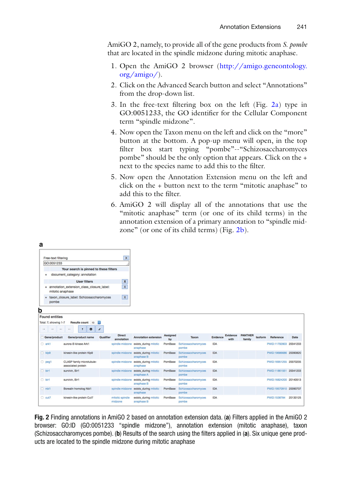AmiGO 2, namely, to provide all of the gene products from *S. pombe* that are located in the spindle midzone during mitotic anaphase.

- 1. Open the AmiGO 2 browser (http://amigo.geneontology.  $org/amigo/$ ).
- 2. Click on the Advanced Search button and select "Annotations" from the drop-down list.
- 3. In the free-text filtering box on the left (Fig.  $2a$ ) type in GO:0051233, the GO identifier for the Cellular Component term "spindle midzone".
- 4. Now open the Taxon menu on the left and click on the "more" button at the bottom. A pop-up menu will open, in the top filter box start typing "pombe"--"Schizosaccharomyces pombe" should be the only option that appears. Click on the + next to the species name to add this to the filter.
- 5. Now open the Annotation Extension menu on the left and click on the + button next to the term "mitotic anaphase" to add this to the filter.
- 6. AmiGO 2 will display all of the annotations that use the "mitotic anaphase" term (or one of its child terms) in the annotation extension of a primary annotation to "spindle midzone" (or one of its child terms) (Fig. 2b).

|                                                                             | Free-text filtering       |                                                 | $\overline{\mathsf{x}}$                  |                                                     |               |                              |            |                  |                          |         |                        |      |
|-----------------------------------------------------------------------------|---------------------------|-------------------------------------------------|------------------------------------------|-----------------------------------------------------|---------------|------------------------------|------------|------------------|--------------------------|---------|------------------------|------|
|                                                                             | GO:0051233                |                                                 |                                          |                                                     |               |                              |            |                  |                          |         |                        |      |
|                                                                             |                           | Your search is pinned to these filters          |                                          |                                                     |               |                              |            |                  |                          |         |                        |      |
| $\rightarrow$                                                               |                           | document_category: annotation                   |                                          |                                                     |               |                              |            |                  |                          |         |                        |      |
|                                                                             |                           | <b>User filters</b>                             | $\pmb{\mathsf{x}}$                       |                                                     |               |                              |            |                  |                          |         |                        |      |
| $\ddot{}$                                                                   | mitotic anaphase          | annotation_extension_class_closure_label:       | $\overline{\mathbf{x}}$                  |                                                     |               |                              |            |                  |                          |         |                        |      |
|                                                                             | pombe                     | taxon_closure_label: Schizosaccharomyces        | $\overline{\mathbf{x}}$                  |                                                     |               |                              |            |                  |                          |         |                        |      |
| b                                                                           |                           |                                                 |                                          |                                                     |               |                              |            |                  |                          |         |                        |      |
| 14                                                                          | Total: 7; showing 1-7     | Results count 10<br>B                           |                                          |                                                     |               |                              |            |                  |                          |         |                        |      |
|                                                                             | k ><br>64<br>Gene/product | ,<br>$\bullet$<br>Gene/product name             | <b>Direct</b><br>Qualifier<br>annotation | Annotation extension                                | Assigned      | Taxon                        | Evidence   | Evidence<br>with | <b>PANTHER</b><br>family | Isoform | Reference              | Date |
|                                                                             |                           | aurora-B kinase Ark1                            | spindle midzone                          | exists during mitotic<br>anaphase                   | by<br>PomBase | Schizosaccharomyces<br>pombe | <b>IDA</b> |                  |                          |         | PMID:11792803 20041203 |      |
|                                                                             |                           | kinesin-like protein Kip9                       |                                          | spindle midzone exists during mitotic<br>anaphase B | PomBase       | Schizosaccharomyces<br>pombe | <b>IDA</b> |                  |                          |         | PMID:19686686 20090820 |      |
|                                                                             |                           | CLASP family microtubule-<br>associated protein |                                          | spindle midzone exists_during mitotic<br>anaphase   | PomBase       | Schizosaccharomyces<br>pombe | <b>IDA</b> |                  |                          |         | PMID:16951255 20070205 |      |
|                                                                             |                           | survivin, Bir1                                  |                                          | spindle midzone exists_during mitotic<br>anaphase A | PomBase       | Schizosaccharomyces<br>pombe | <b>IDA</b> |                  |                          |         | PMID:11861551 20041203 |      |
|                                                                             |                           | survivin, Bir1                                  |                                          | spindle midzone exists during mitotic<br>anaphase B | PomBase       | Schizosaccharomyces<br>pombe | <b>IDA</b> |                  |                          |         | PMID:16824200 20140513 |      |
| □ ark1<br>$\Box$ klp9<br>$p_{eq}$<br>$\Box$ birt<br>$\Box$ birt<br>$n$ nbi1 |                           | Borealin homolog Nbl1                           |                                          | spindle midzone exists during mitotic<br>anaphase   | PomBase       | Schizosaccharomyces<br>pombe | <b>IDA</b> |                  |                          |         | PMID:19570910 20090707 |      |

 **Fig. 2** Finding annotations in AmiGO 2 based on annotation extension data. ( **a** ) Filters applied in the AmiGO 2 browser: GO:ID (GO:0051233 "spindle midzone"), annotation extension (mitotic anaphase), taxon (Schizosaccharomyces pombe). (**b**) Results of the search using the filters applied in (a). Six unique gene products are located to the spindle midzone during mitotic anaphase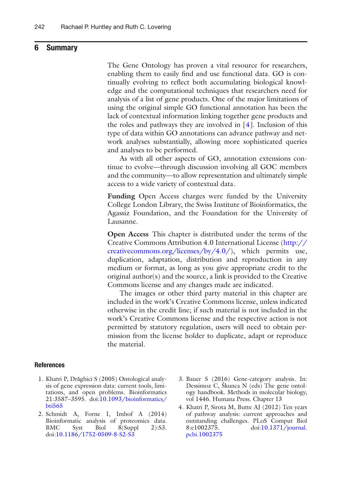#### <span id="page-9-0"></span>**6 Summary**

The Gene Ontology has proven a vital resource for researchers, enabling them to easily find and use functional data. GO is continually evolving to reflect both accumulating biological knowledge and the computational techniques that researchers need for analysis of a list of gene products. One of the major limitations of using the original simple GO functional annotation has been the lack of contextual information linking together gene products and the roles and pathways they are involved in  $[4]$ . Inclusion of this type of data within GO annotations can advance pathway and network analyses substantially, allowing more sophisticated queries and analyses to be performed.

As with all other aspects of GO, annotation extensions continue to evolve—through discussion involving all GOC members and the community—to allow representation and ultimately simple access to a wide variety of contextual data.

**Funding** Open Access charges were funded by the University College London Library, the Swiss Institute of Bioinformatics, the Agassiz Foundation, and the Foundation for the University of Lausanne.

**Open Access** This chapter is distributed under the terms of the Creative Commons Attribution 4.0 International License [\( http://](http://creativecommons.org/licenses/by/4.0/) [creativecommons.org/licenses/by/4.0/](http://creativecommons.org/licenses/by/4.0/) [\)](http://creativecommons.org/licenses/by/4.0/), which permits use, duplication, adaptation, distribution and reproduction in any medium or format, as long as you give appropriate credit to the original author(s) and the source, a link is provided to the Creative Commons license and any changes made are indicated.

The images or other third party material in this chapter are included in the work's Creative Commons license, unless indicated otherwise in the credit line; if such material is not included in the work's Creative Commons license and the respective action is not permitted by statutory regulation, users will need to obtain permission from the license holder to duplicate, adapt or reproduce the material.

#### **References**

- 1. Khatri P, Drăghici S (2005) Ontological analysis of gene expression data: current tools, limitations, and open problems. Bioinformatics 21:3587–3595. doi: [10.1093/bioinformatics/](http://dx.doi.org/10.1093/bioinformatics/bti565) [bti565](http://dx.doi.org/10.1093/bioinformatics/bti565)
- 2. Schmidt A, Forne I, Imhof A (2014) Bioinformatic analysis of proteomics data. BMC Syst Biol 8(Suppl 2):S3. doi[: 10.1186/1752-0509-8-S2-S3](http://dx.doi.org/10.1186/1752-0509-8-S2-S3)
- 3. Bauer S (2016) Gene-category analysis. In: Dessimoz C, Škunca N (eds) The gene ontology handbook. Methods in molecular biology, vol 1446. Humana Press. Chapter 13
- 4. Khatri P, Sirota M, Butte AJ (2012) Ten years of pathway analysis: current approaches and outstanding challenges. PLoS Comput Biol 8:e1002375. doi:10.1371/journal. [pcbi.1002375](http://dx.doi.org/10.1371/journal.pcbi.1002375)